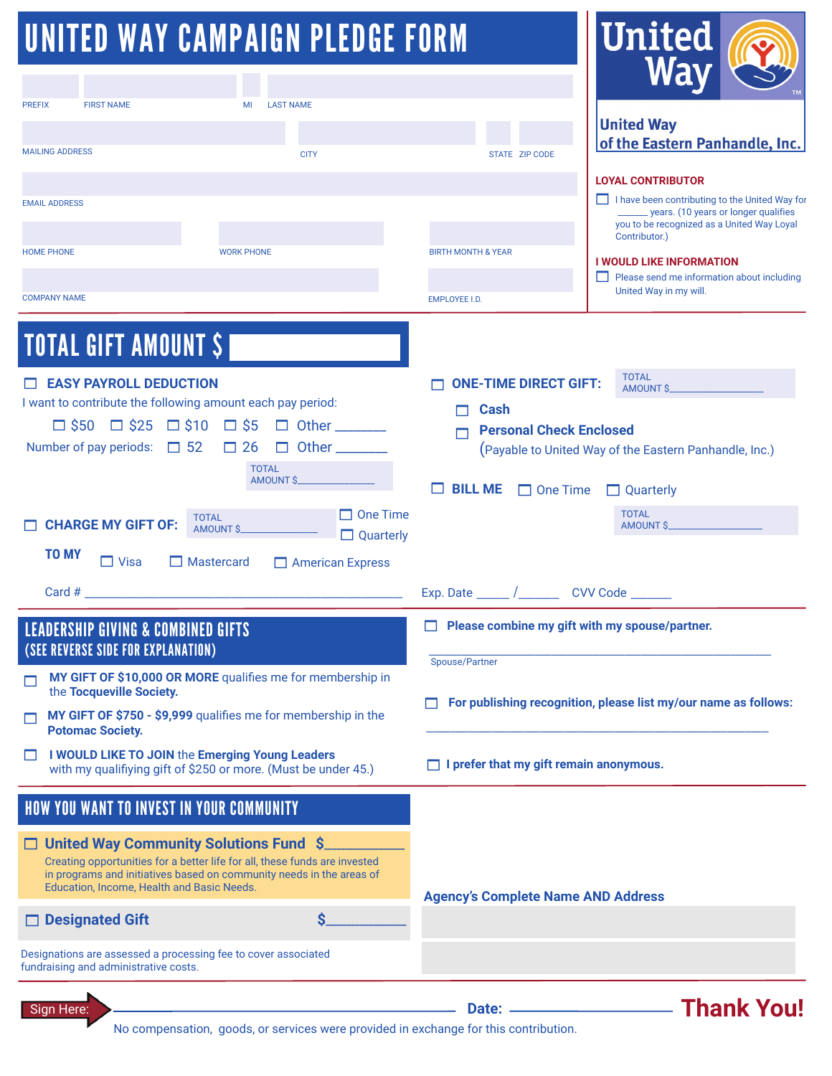# UNITED WAY CAMPAIGN PLEDGE FORM

| <b>UNITED WAY CAMPAIGN PLEDGE FORM</b>                                                                                                                                                                                                                                                                                   |                                                                                                 | <b>United</b>                                                                                                                                                                                                                                                                                        |
|--------------------------------------------------------------------------------------------------------------------------------------------------------------------------------------------------------------------------------------------------------------------------------------------------------------------------|-------------------------------------------------------------------------------------------------|------------------------------------------------------------------------------------------------------------------------------------------------------------------------------------------------------------------------------------------------------------------------------------------------------|
| <b>PREFIX</b><br><b>FIRST NAME</b><br>MI<br><b>LAST NAME</b>                                                                                                                                                                                                                                                             |                                                                                                 |                                                                                                                                                                                                                                                                                                      |
| <b>MAILING ADDRESS</b><br><b>CITY</b>                                                                                                                                                                                                                                                                                    | STATE ZIP CODE                                                                                  | <b>United Way</b><br>of the Eastern Panhandle, Inc.                                                                                                                                                                                                                                                  |
| <b>EMAIL ADDRESS</b><br><b>WORK PHONE</b><br><b>HOME PHONE</b><br><b>COMPANY NAME</b>                                                                                                                                                                                                                                    | <b>BIRTH MONTH &amp; YEAR</b><br><b>EMPLOYEE I.D.</b>                                           | <b>LOYAL CONTRIBUTOR</b><br>I have been contributing to the United Way for<br>_______ years. (10 years or longer qualifies<br>you to be recognized as a United Way Loyal<br>Contributor.)<br><b>I WOULD LIKE INFORMATION</b><br>Please send me information about including<br>United Way in my will. |
| <b>TOTAL GIFT AMOUNT \$</b><br><b>EASY PAYROLL DEDUCTION</b><br>I want to contribute the following amount each pay period:                                                                                                                                                                                               | <b>ONE-TIME DIRECT GIFT:</b>                                                                    | <b>TOTAL</b>                                                                                                                                                                                                                                                                                         |
| $\Box$ \$50 $\Box$ \$25 $\Box$ \$10 $\Box$ \$5 $\Box$ Other ______<br>Number of pay periods: $\Box$ 52 $\Box$ 26<br><b>TOTAL</b><br>AMOUNT \$                                                                                                                                                                            | <b>Cash</b><br><b>Personal Check Enclosed</b><br><b>BILL ME One Time</b>                        | (Payable to United Way of the Eastern Panhandle, Inc.)<br>$\Box$ Quarterly                                                                                                                                                                                                                           |
| $\Box$ One Time<br><b>TOTAL</b><br><b>CHARGE MY GIFT OF:</b><br>AMOUNT \$<br>$\Box$ Quarterly<br><b>TO MY</b><br>$\Box$ Visa<br>$\Box$ Mastercard<br>American Express                                                                                                                                                    |                                                                                                 | <b>TOTAL</b><br>AMOUNT \$                                                                                                                                                                                                                                                                            |
| Card #<br><b>LEADERSHIP GIVING &amp; COMBINED GIFTS</b><br>(SEE REVERSE SIDE FOR EXPLANATION)                                                                                                                                                                                                                            | Exp. Date ______ /__________ CVV Code _______<br>Please combine my gift with my spouse/partner. |                                                                                                                                                                                                                                                                                                      |
| MY GIFT OF \$10,000 OR MORE qualifies me for membership in<br>the Tocqueville Society.<br>MY GIFT OF \$750 - \$9,999 qualifies me for membership in the<br><b>Potomac Society.</b>                                                                                                                                       | Spouse/Partner                                                                                  | For publishing recognition, please list my/our name as follows:                                                                                                                                                                                                                                      |
| I WOULD LIKE TO JOIN the Emerging Young Leaders<br>П<br>with my qualifiying gift of \$250 or more. (Must be under 45.)                                                                                                                                                                                                   | $\Box$ I prefer that my gift remain anonymous.                                                  |                                                                                                                                                                                                                                                                                                      |
| HOW YOU WANT TO INVEST IN YOUR COMMUNITY<br>□ United Way Community Solutions Fund \$<br>Creating opportunities for a better life for all, these funds are invested<br>in programs and initiatives based on community needs in the areas of<br>Education, Income, Health and Basic Needs.<br>Ś.<br><b>Designated Gift</b> | <b>Agency's Complete Name AND Address</b>                                                       |                                                                                                                                                                                                                                                                                                      |
| Designations are assessed a processing fee to cover associated<br>fundraising and administrative costs.                                                                                                                                                                                                                  |                                                                                                 |                                                                                                                                                                                                                                                                                                      |
| Sign Here:                                                                                                                                                                                                                                                                                                               |                                                                                                 | <b>Norman Science Thank You!</b>                                                                                                                                                                                                                                                                     |

No compensation, goods, or services were provided in exchange for this contribution.